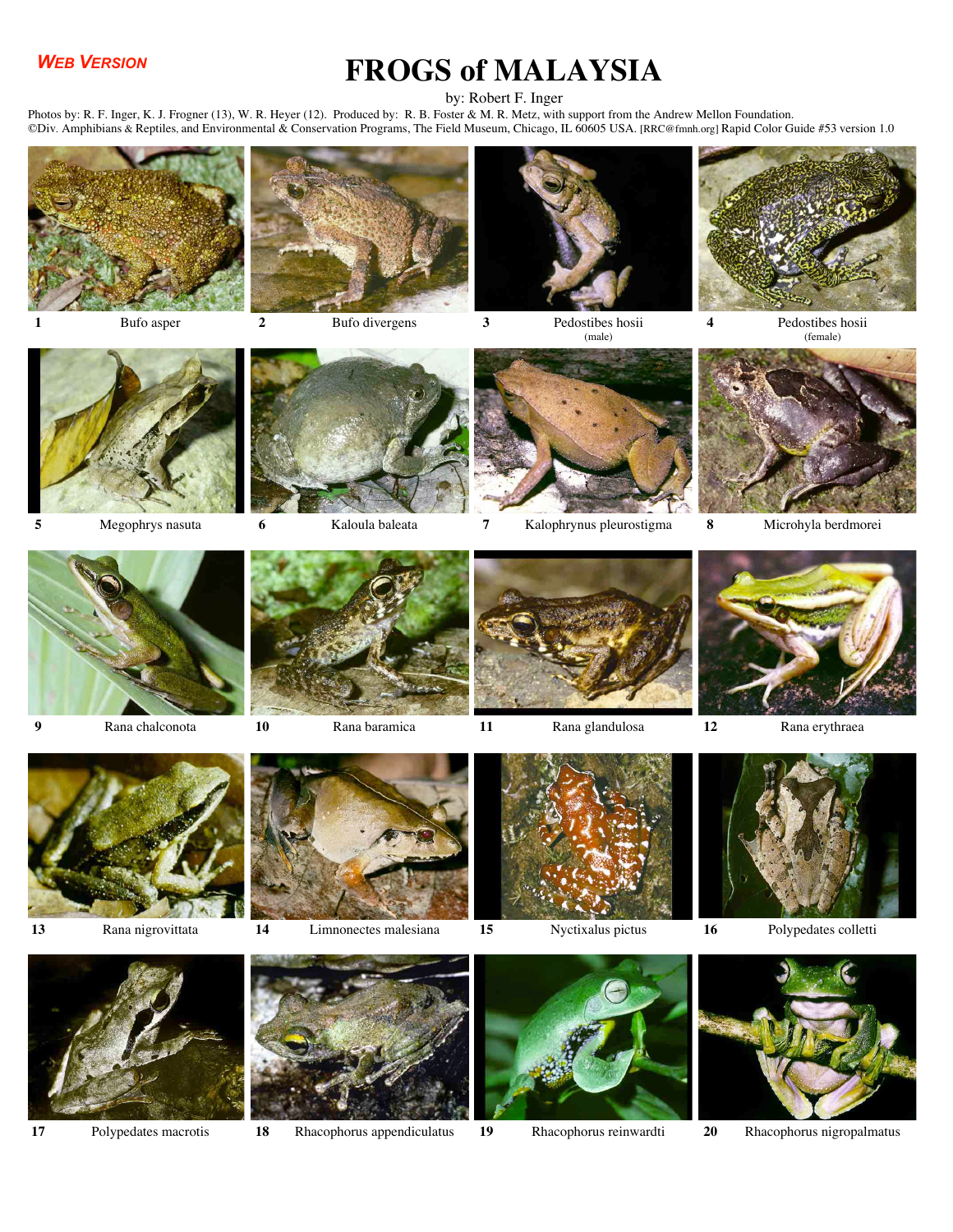## *WEB VERSION*

## **FROGS of MALAYSIA**

by: Robert F. Inger

Photos by: R. F. Inger, K. J. Frogner (13), W. R. Heyer (12). Produced by: R. B. Foster & M. R. Metz, with support from the Andrew Mellon Foundation. ©Div. Amphibians & Reptiles, and Environmental & Conservation Programs, The Field Museum, Chicago, IL 60605 USA. [RRC@fmnh.org] Rapid Color Guide #53 version 1.0







**1** Bufo asper **2** Bufo divergens **3** Pedostibes hosii (male)

**4** Pedostibes hosii (female)







**5** Megophrys nasuta **6** Kaloula baleata **7** Kalophrynus pleurostigma **8** Microhyla berdmorei







**9** Rana chalconota **10** Rana baramica **11** Rana glandulosa **12** Rana erythraea









**13** Rana nigrovittata **14** Limnonectes malesiana **15** Nyctixalus pictus **16** Polypedates colletti















**17** Polypedates macrotis **18** Rhacophorus appendiculatus **19** Rhacophorus reinwardti **20** Rhacophorus nigropalmatus